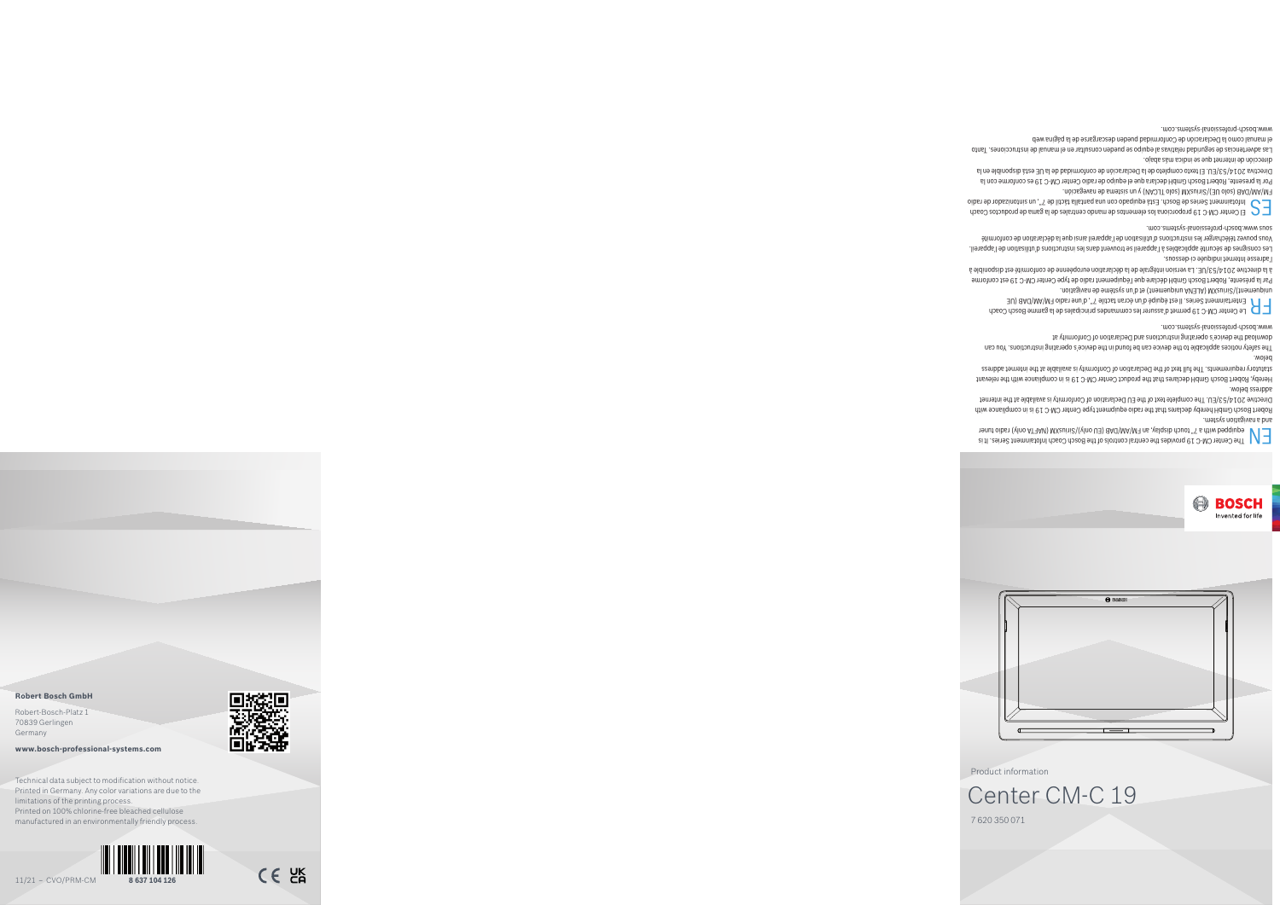

Product information



## 7 620 350 071 Center CM-C 19

ei 11 . Leine Chendinisto and Deso Coach and the Boston Coach Informent Series. It is The Boston Corporation A<br>The Rosen Constant Service Series (Ville Des Valoris Constantino Boston Constantino Baddiupe Manus Corporation and a navigation system.

Fobert Bosch GmbH hereby declares that the radio equipment type Center CM-C 19 is in compliance with Jernatrive 204/53/EU. The complete text of the EU Declaration of Conformity is available at the internet address below.

Hereby, Robert Bosch GmbH declares that the product Center CM-C 19 is in compliance with the relevant statutory requirements. The full text of the Declaration of Conformity is available at the internet address below.

. noitsgivan eb eméteve nu'b te (tnemeupinu AV3JA) MX euri $\beta$ (tnemeupinu Par la présente, Robert Bosch GmbH déclare que l'équipement radio de type Center CM-C 19 est conforme

à la directive 2014/53/UE. La version intégrale de la déclaration européenne de conformité est disponible à l'adresse Internet indiquée ci-dessous.

The safety notices applicable to the device can be found in the device's operating instructions. You can download the device's operating instructions and Declaration of Conformity at www.bosch-professional-systems.com.

frime Bosch CM-C 19 permet d'assurer les commandes principales de la gamme Bosch Coach Loach Coach Coach Series. Il est écran tactification de la Carle 7 de la Center d'un écran tactile 7 de la Center d'un écran tactile 7

Les consignes de sécurité applicables à l'appareil se trouvent dans les instructions d'utilisation de l'appareil. Vous pouvez télécharger les instructions d'utilisation de l'appareil ainsi que la déclaration de conformité

moo. zenus www.boscional-systems.com.<br> $\Box$  El Center CM-C 19 proporciona los elementos de mando centrales de la gama de productos Coach<br>object als de radio de radio el calente Esta Subando de radio de 7.º, un sintonistor

-mòiɔɕgəvɕn əb ɕmətaiz nu ɣ (MAOJT oloz) MXauiri $\mathcal{C}\backslash\{\exists\mathsf{U}}$  oloz) BA $\mathsf{d}\mathsf{M}\mathsf{A}\backslash\mathsf{M}^{\mathsf{T}}$ Por la presente, Robert Bosch GmbH declara que el equipo de radio Center CM-C 19 es conforme con la Directiva 2014/53/EU. El texto completo de la Declaración de conformidad de la UE está disponible en la

dirección de internet que se indica más abajo. Las advertencias de seguridad relativas al equipo se pueden consultar en el manual de instrucciones. Tanto

el manual como la Declaración de Conformidad pueden descargarse de la página web

www.bosch-professional-systems.com.

**BOSCH** Invented for life

## **Robert Bosch GmbH**

Robert-Bosch-Platz 1 70839 Gerlingen Germany

**www.bosch-professional-systems.com**



 $C \in \Xi$ 

Technical data subject to modification without notice. Printed in Germany. Any color variations are due to the limitations of the printing process. Printed on 100% chlorine-free bleached cellulose manufactured in an environmentally friendly process.